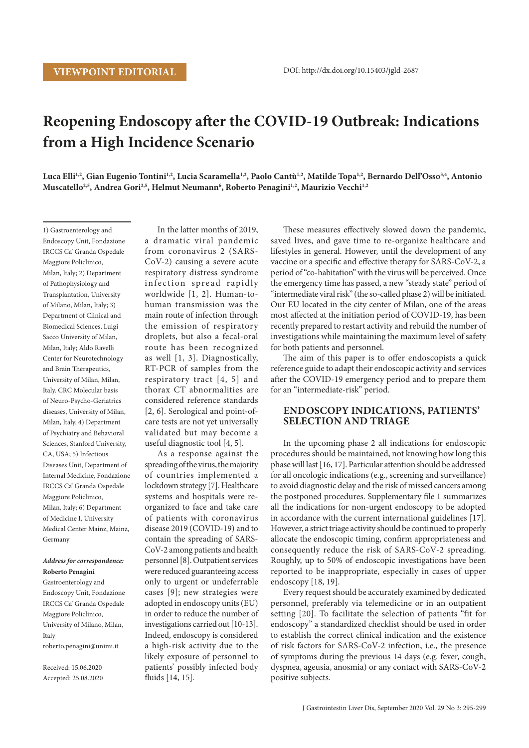# **Reopening Endoscopy after the COVID-19 Outbreak: Indications from a High Incidence Scenario**

Luca Elli<sup>1,2</sup>, Gian Eugenio Tontini<sup>1,2</sup>, Lucia Scaramella<sup>1,2</sup>, Paolo Cantù<sup>1,2</sup>, Matilde Topa<sup>1,2</sup>, Bernardo Dell'Osso<sup>3,4</sup>, Antonio Muscatello<sup>2,5</sup>, Andrea Gori<sup>2,5</sup>, Helmut Neumann<sup>6</sup>, Roberto Penagini<sup>1,2</sup>, Maurizio Vecchi<sup>1,2</sup>

1) Gastroenterology and Endoscopy Unit, Fondazione IRCCS Ca' Granda Ospedale Maggiore Policlinico, Milan, Italy; 2) Department of Pathophysiology and Transplantation, University of Milano, Milan, Italy; 3) Department of Clinical and Biomedical Sciences, Luigi Sacco University of Milan, Milan, Italy; Aldo Ravelli Center for Neurotechnology and Brain Therapeutics, University of Milan, Milan, Italy. CRC Molecular basis of Neuro-Psycho-Geriatrics diseases, University of Milan, Milan, Italy. 4) Department of Psychiatry and Behavioral Sciences, Stanford University, CA, USA; 5) Infectious Diseases Unit, Department of Internal Medicine, Fondazione IRCCS Ca' Granda Ospedale Maggiore Policlinico, Milan, Italy; 6) Department of Medicine I, University Medical Center Mainz, Mainz, Germany

## *Address for correspondence:*  **Roberto Penagini**

Gastroenterology and Endoscopy Unit, Fondazione IRCCS Ca' Granda Ospedale Maggiore Policlinico, University of Milano, Milan, Italy roberto.penagini@unimi.it

Received: 15.06.2020 Accepted: 25.08.2020

In the latter months of 2019, a dramatic viral pandemic from coronavirus 2 (SARS-CoV-2) causing a severe acute respiratory distress syndrome in fection spread rapidly worldwide [1, 2]. Human-tohuman transmission was the main route of infection through the emission of respiratory droplets, but also a fecal-oral route has been recognized as well [1, 3]. Diagnostically, RT-PCR of samples from the respiratory tract [4, 5] and thorax CT abnormalities are considered reference standards [2, 6]. Serological and point-ofcare tests are not yet universally validated but may become a useful diagnostic tool [4, 5].

As a response against the spreading of the virus, the majority of countries implemented a lockdown strategy [7]. Healthcare systems and hospitals were reorganized to face and take care of patients with coronavirus disease 2019 (COVID-19) and to contain the spreading of SARS-CoV-2 among patients and health personnel [8]. Outpatient services were reduced guaranteeing access only to urgent or undeferrable cases [9]; new strategies were adopted in endoscopy units (EU) in order to reduce the number of investigations carried out [10-13]. Indeed, endoscopy is considered a high-risk activity due to the likely exposure of personnel to patients' possibly infected body fluids [14, 15].

These measures effectively slowed down the pandemic, saved lives, and gave time to re-organize healthcare and lifestyles in general. However, until the development of any vaccine or a specific and effective therapy for SARS-CoV-2, a period of "co-habitation" with the virus will be perceived. Once the emergency time has passed, a new "steady state" period of "intermediate viral risk" (the so-called phase 2) will be initiated. Our EU located in the city center of Milan, one of the areas most affected at the initiation period of COVID-19, has been recently prepared to restart activity and rebuild the number of investigations while maintaining the maximum level of safety for both patients and personnel.

The aim of this paper is to offer endoscopists a quick reference guide to adapt their endoscopic activity and services after the COVID-19 emergency period and to prepare them for an "intermediate-risk" period.

# **ENDOSCOPY INDICATIONS, PATIENTS' SELECTION AND TRIAGE**

In the upcoming phase 2 all indications for endoscopic procedures should be maintained, not knowing how long this phase will last [16, 17]. Particular attention should be addressed for all oncologic indications (e.g., screening and surveillance) to avoid diagnostic delay and the risk of missed cancers among the postponed procedures. Supplementary file 1 summarizes all the indications for non-urgent endoscopy to be adopted in accordance with the current international guidelines [17]. However, a strict triage activity should be continued to properly allocate the endoscopic timing, confirm appropriateness and consequently reduce the risk of SARS-CoV-2 spreading. Roughly, up to 50% of endoscopic investigations have been reported to be inappropriate, especially in cases of upper endoscopy [18, 19].

Every request should be accurately examined by dedicated personnel, preferably via telemedicine or in an outpatient setting [20]. To facilitate the selection of patients "fit for endoscopy" a standardized checklist should be used in order to establish the correct clinical indication and the existence of risk factors for SARS-CoV-2 infection, i.e., the presence of symptoms during the previous 14 days (e.g. fever, cough, dyspnea, ageusia, anosmia) or any contact with SARS-CoV-2 positive subjects.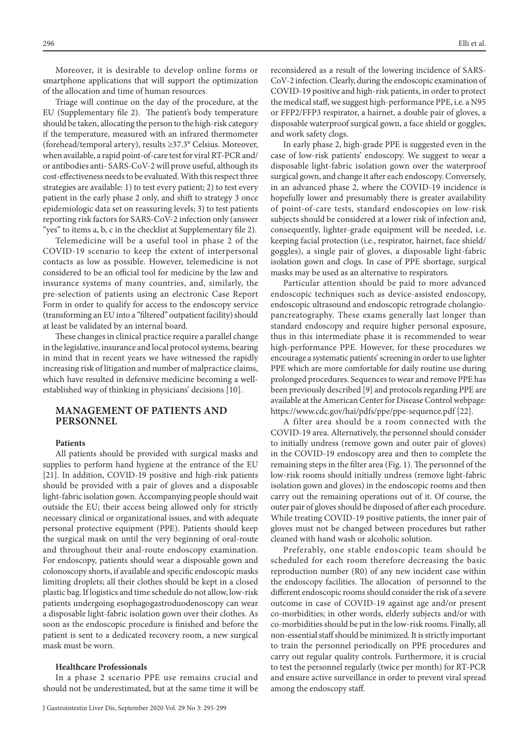Moreover, it is desirable to develop online forms or smartphone applications that will support the optimization of the allocation and time of human resources.

Triage will continue on the day of the procedure, at the EU (Supplementary file 2). The patient's body temperature should be taken, allocating the person to the high-risk category if the temperature, measured with an infrared thermometer (forehead/temporal artery), results ≥37.3° Celsius. Moreover, when available, a rapid point-of-care test for viral RT-PCR and/ or antibodies anti- SARS-CoV-2 will prove useful, although its cost-effectiveness needs to be evaluated. With this respect three strategies are available: 1) to test every patient; 2) to test every patient in the early phase 2 only, and shift to strategy 3 once epidemiologic data set on reassuring levels; 3) to test patients reporting risk factors for SARS-CoV-2 infection only (answer "yes" to items a, b, c in the checklist at Supplementary file 2).

Telemedicine will be a useful tool in phase 2 of the COVID-19 scenario to keep the extent of interpersonal contacts as low as possible. However, telemedicine is not considered to be an official tool for medicine by the law and insurance systems of many countries, and, similarly, the pre-selection of patients using an electronic Case Report Form in order to qualify for access to the endoscopy service (transforming an EU into a "filtered" outpatient facility) should at least be validated by an internal board.

These changes in clinical practice require a parallel change in the legislative, insurance and local protocol systems, bearing in mind that in recent years we have witnessed the rapidly increasing risk of litigation and number of malpractice claims, which have resulted in defensive medicine becoming a wellestablished way of thinking in physicians' decisions [10].

# **MANAGEMENT OF PATIENTS AND PERSONNEL**

#### **Patients**

All patients should be provided with surgical masks and supplies to perform hand hygiene at the entrance of the EU [21]. In addition, COVID-19 positive and high-risk patients should be provided with a pair of gloves and a disposable light-fabric isolation gown. Accompanying people should wait outside the EU; their access being allowed only for strictly necessary clinical or organizational issues, and with adequate personal protective equipment (PPE). Patients should keep the surgical mask on until the very beginning of oral-route and throughout their anal-route endoscopy examination. For endoscopy, patients should wear a disposable gown and colonoscopy shorts, if available and specific endoscopic masks limiting droplets; all their clothes should be kept in a closed plastic bag. If logistics and time schedule do not allow, low-risk patients undergoing esophagogastroduodenoscopy can wear a disposable light-fabric isolation gown over their clothes. As soon as the endoscopic procedure is finished and before the patient is sent to a dedicated recovery room, a new surgical mask must be worn.

## **Healthcare Professionals**

In a phase 2 scenario PPE use remains crucial and should not be underestimated, but at the same time it will be reconsidered as a result of the lowering incidence of SARS-CoV-2 infection. Clearly, during the endoscopic examination of COVID-19 positive and high-risk patients, in order to protect the medical staff, we suggest high-performance PPE, i.e. a N95 or FFP2/FFP3 respirator, a hairnet, a double pair of gloves, a disposable waterproof surgical gown, a face shield or goggles, and work safety clogs.

In early phase 2, high-grade PPE is suggested even in the case of low-risk patients' endoscopy. We suggest to wear a disposable light-fabric isolation gown over the waterproof surgical gown, and change it after each endoscopy. Conversely, in an advanced phase 2, where the COVID-19 incidence is hopefully lower and presumably there is greater availability of point-of-care tests, standard endoscopies on low-risk subjects should be considered at a lower risk of infection and, consequently, lighter-grade equipment will be needed, i.e. keeping facial protection (i.e., respirator, hairnet, face shield/ goggles), a single pair of gloves, a disposable light-fabric isolation gown and clogs. In case of PPE shortage, surgical masks may be used as an alternative to respirators.

Particular attention should be paid to more advanced endoscopic techniques such as device-assisted endoscopy, endoscopic ultrasound and endoscopic retrograde cholangiopancreatography. These exams generally last longer than standard endoscopy and require higher personal exposure, thus in this intermediate phase it is recommended to wear high-performance PPE. However, for these procedures we encourage a systematic patients' screening in order to use lighter PPE which are more comfortable for daily routine use during prolonged procedures. Sequences to wear and remove PPE has been previously described [9] and protocols regarding PPE are available at the American Center for Disease Control webpage: https://www.cdc.gov/hai/pdfs/ppe/ppe-sequence.pdf [22].

A filter area should be a room connected with the COVID-19 area. Alternatively, the personnel should consider to initially undress (remove gown and outer pair of gloves) in the COVID-19 endoscopy area and then to complete the remaining steps in the filter area (Fig. 1). The personnel of the low-risk rooms should initially undress (remove light-fabric isolation gown and gloves) in the endoscopic rooms and then carry out the remaining operations out of it. Of course, the outer pair of gloves should be disposed of after each procedure. While treating COVID-19 positive patients, the inner pair of gloves must not be changed between procedures but rather cleaned with hand wash or alcoholic solution.

Preferably, one stable endoscopic team should be scheduled for each room therefore decreasing the basic reproduction number (R0) of any new incident case within the endoscopy facilities. The allocation of personnel to the different endoscopic rooms should consider the risk of a severe outcome in case of COVID-19 against age and/or present co-morbidities; in other words, elderly subjects and/or with co-morbidities should be put in the low-risk rooms. Finally, all non-essential staff should be minimized. It is strictly important to train the personnel periodically on PPE procedures and carry out regular quality controls. Furthermore, it is crucial to test the personnel regularly (twice per month) for RT-PCR and ensure active surveillance in order to prevent viral spread among the endoscopy staff.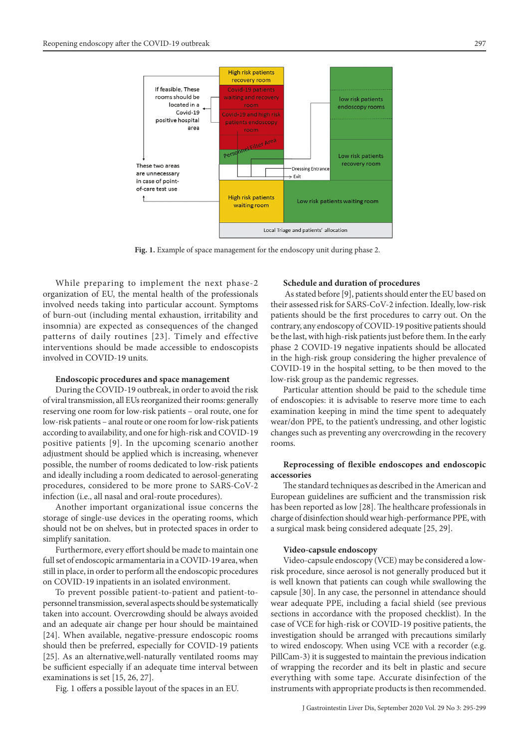

**Fig. 1.** Example of space management for the endoscopy unit during phase 2.

While preparing to implement the next phase-2 organization of EU, the mental health of the professionals involved needs taking into particular account. Symptoms of burn-out (including mental exhaustion, irritability and insomnia) are expected as consequences of the changed patterns of daily routines [23]. Timely and effective interventions should be made accessible to endoscopists involved in COVID-19 units.

#### **Endoscopic procedures and space management**

During the COVID-19 outbreak, in order to avoid the risk of viral transmission, all EUs reorganized their rooms: generally reserving one room for low-risk patients – oral route, one for low-risk patients – anal route or one room for low-risk patients according to availability, and one for high-risk and COVID-19 positive patients [9]. In the upcoming scenario another adjustment should be applied which is increasing, whenever possible, the number of rooms dedicated to low-risk patients and ideally including a room dedicated to aerosol-generating procedures, considered to be more prone to SARS-CoV-2 infection (i.e., all nasal and oral-route procedures).

Another important organizational issue concerns the storage of single-use devices in the operating rooms, which should not be on shelves, but in protected spaces in order to simplify sanitation.

Furthermore, every effort should be made to maintain one full set of endoscopic armamentaria in a COVID-19 area, when still in place, in order to perform all the endoscopic procedures on COVID-19 inpatients in an isolated environment.

To prevent possible patient-to-patient and patient-topersonnel transmission, several aspects should be systematically taken into account. Overcrowding should be always avoided and an adequate air change per hour should be maintained [24]. When available, negative-pressure endoscopic rooms should then be preferred, especially for COVID-19 patients [25]. As an alternative,well-naturally ventilated rooms may be sufficient especially if an adequate time interval between examinations is set [15, 26, 27].

Fig. 1 offers a possible layout of the spaces in an EU.

#### **Schedule and duration of procedures**

 As stated before [9], patients should enter the EU based on their assessed risk for SARS-CoV-2 infection. Ideally, low-risk patients should be the first procedures to carry out. On the contrary, any endoscopy of COVID-19 positive patients should be the last, with high-risk patients just before them. In the early phase 2 COVID-19 negative inpatients should be allocated in the high-risk group considering the higher prevalence of COVID-19 in the hospital setting, to be then moved to the low-risk group as the pandemic regresses.

Particular attention should be paid to the schedule time of endoscopies: it is advisable to reserve more time to each examination keeping in mind the time spent to adequately wear/don PPE, to the patient's undressing, and other logistic changes such as preventing any overcrowding in the recovery rooms.

# **Reprocessing of flexible endoscopes and endoscopic accessories**

The standard techniques as described in the American and European guidelines are sufficient and the transmission risk has been reported as low [28]. The healthcare professionals in charge of disinfection should wear high-performance PPE, with a surgical mask being considered adequate [25, 29].

### **Video-capsule endoscopy**

Video-capsule endoscopy (VCE) may be considered a lowrisk procedure, since aerosol is not generally produced but it is well known that patients can cough while swallowing the capsule [30]. In any case, the personnel in attendance should wear adequate PPE, including a facial shield (see previous sections in accordance with the proposed checklist). In the case of VCE for high-risk or COVID-19 positive patients, the investigation should be arranged with precautions similarly to wired endoscopy. When using VCE with a recorder (e.g. PillCam-3) it is suggested to maintain the previous indication of wrapping the recorder and its belt in plastic and secure everything with some tape. Accurate disinfection of the instruments with appropriate products is then recommended.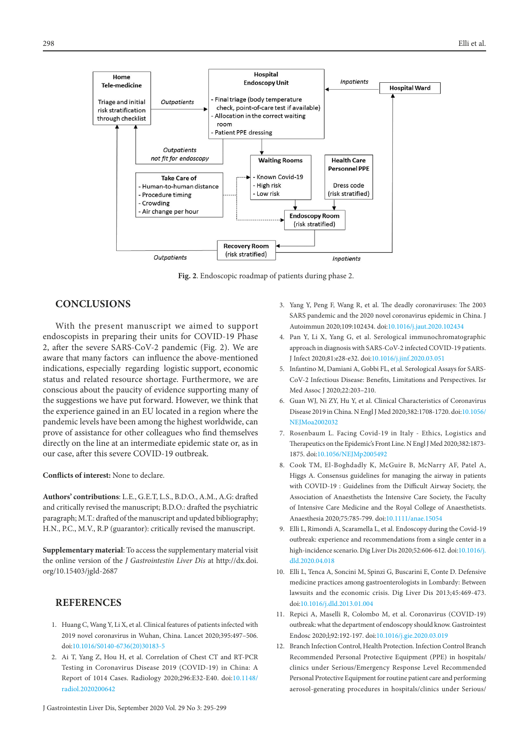

**Fig. 2**. Endoscopic roadmap of patients during phase 2.

# **CONCLUSIONS**

With the present manuscript we aimed to support endoscopists in preparing their units for COVID-19 Phase 2, after the severe SARS-CoV-2 pandemic (Fig. 2). We are aware that many factors can influence the above-mentioned indications, especially regarding logistic support, economic status and related resource shortage. Furthermore, we are conscious about the paucity of evidence supporting many of the suggestions we have put forward. However, we think that the experience gained in an EU located in a region where the pandemic levels have been among the highest worldwide, can prove of assistance for other colleagues who find themselves directly on the line at an intermediate epidemic state or, as in our case, after this severe COVID-19 outbreak.

**Conflicts of interest:** None to declare.

**Authors' contributions**: L.E., G.E.T, L.S., B.D.O., A.M., A.G: drafted and critically revised the manuscript; B.D.O.: drafted the psychiatric paragraph; M.T.: drafted of the manuscript and updated bibliography; H.N., P.C., M.V., R.P (guarantor): critically revised the manuscript.

**Supplementary material**: To access the supplementary material visit the online version of the *J Gastrointestin Liver Dis* at http://dx.doi. org/10.15403/jgld-2687

# **REFERENCES**

- 1. Huang C, Wang Y, Li X, et al. Clinical features of patients infected with 2019 novel coronavirus in Wuhan, China. Lancet 2020;395:497–506. doi:[10.1016/S0140-6736\(20\)30183-5](http://dx.doi.org/10.1016/S0140-6736(20)30183-5)
- 2. Ai T, Yang Z, Hou H, et al. Correlation of Chest CT and RT-PCR Testing in Coronavirus Disease 2019 (COVID-19) in China: A Report of 1014 Cases. Radiology 2020;296:E32-E40. doi:[10.1148/](http://dx.doi.org/10.1148/radiol.2020200642) [radiol.2020200642](http://dx.doi.org/10.1148/radiol.2020200642)
- 3. Yang Y, Peng F, Wang R, et al. The deadly coronaviruses: The 2003 SARS pandemic and the 2020 novel coronavirus epidemic in China. J Autoimmun 2020;109:102434. doi:[10.1016/j.jaut.2020.102434](http://dx.doi.org/10.1016/j.jaut.2020.102434)
- 4. Pan Y, Li X, Yang G, et al. Serological immunochromatographic approach in diagnosis with SARS-CoV-2 infected COVID-19 patients. J Infect 2020;81:e28-e32. doi[:10.1016/j.jinf.2020.03.051](http://dx.doi.org/10.1016/j.jinf.2020.03.051)
- 5. Infantino M, Damiani A, Gobbi FL, et al. Serological Assays for SARS-CoV-2 Infectious Disease: Benefits, Limitations and Perspectives. Isr Med Assoc J 2020;22:203–210.
- 6. Guan WJ, Ni ZY, Hu Y, et al. Clinical Characteristics of Coronavirus Disease 2019 in China. N Engl J Med 2020;382:1708-1720. doi:[10.1056/](http://dx.doi.org/10.1056/NEJMoa2002032) [NEJMoa2002032](http://dx.doi.org/10.1056/NEJMoa2002032)
- 7. Rosenbaum L. Facing Covid-19 in Italy Ethics, Logistics and Therapeutics on the Epidemic's Front Line. N Engl J Med 2020;382:1873- 1875. doi[:10.1056/NEJMp2005492](https://doi.org/10.1056/nejmp2005492)
- 8. Cook TM, El-Boghdadly K, McGuire B, McNarry AF, Patel A, Higgs A. Consensus guidelines for managing the airway in patients with COVID-19 : Guidelines from the Difficult Airway Society, the Association of Anaesthetists the Intensive Care Society, the Faculty of Intensive Care Medicine and the Royal College of Anaesthetists. Anaesthesia 2020;75:785-799. doi:[10.1111/anae.15054](https://doi.org/10.1111/anae.15054)
- 9. Elli L, Rimondi A, Scaramella L, et al. Endoscopy during the Covid-19 outbreak: experience and recommendations from a single center in a high-incidence scenario. Dig Liver Dis 2020;52:606-612. doi:[10.1016/j.](http://dx.doi.org/10.1016/j.dld.2020.04.018) [dld.2020.04.018](http://dx.doi.org/10.1016/j.dld.2020.04.018)
- 10. Elli L, Tenca A, Soncini M, Spinzi G, Buscarini E, Conte D. Defensive medicine practices among gastroenterologists in Lombardy: Between lawsuits and the economic crisis. Dig Liver Dis 2013;45:469-473. doi[:10.1016/j.dld.2013.01.004](http://dx.doi.org/10.1016/j.dld.2013.01.004)
- 11. Repici A, Maselli R, Colombo M, et al. Coronavirus (COVID-19) outbreak: what the department of endoscopy should know. Gastrointest Endosc 2020;l;92:192-197. doi:[10.1016/j.gie.2020.03.019](http://dx.doi.org/10.1016/j.gie.2020.03.019)
- 12. Branch Infection Control, Health Protection. Infection Control Branch Recommended Personal Protective Equipment (PPE) in hospitals/ clinics under Serious/Emergency Response Level Recommended Personal Protective Equipment for routine patient care and performing aerosol-generating procedures in hospitals/clinics under Serious/